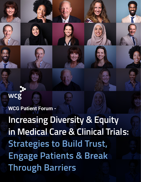

**WCG Patient Forum -** 

**Increasing Diversity & Equity in Medical Care & Clinical Trials: Strategies to Build Trust, Engage Patients & Break Through Barriers**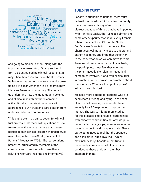

and going to medical school, along with the importance of mentoring. Finally, we heard from a scientist leading clinical research at a major healthcare institution in the Rio Grande Valley, who has come home to where she grew up as a Mexican American in a predominantly Mexican American community. She helped us understand how the most modern science and clinical research methods combine with culturally competent communication approaches to win trust and participation from underserved ethnic communities.

"This entire event is a call to action for clinical trial professionals faced with questions of how to overcome the access barriers that prevent participation in clinical research by underserved minorities," noted Steve Smith, president of Patient Advocacy for WCG. "The real solutions presented, articulated by members of the communities in question who make these solutions work, are inspiring and informative."

## BUILDING TRUST

For any relationship to flourish, there must be trust. "In the African American community, there has been a history of mistrust and distrust because of things that have happened with Henrietta Lacks, the Tuskegee airmen and some other experiments," said Beverly Francis-Gibson, president and CEO of the Sickle Cell Disease Association of America. The pharmaceutical industry needs to understand patient hesitancy and bring that sensitivity to the conversation so we can move forward. To recruit diverse patients for clinical trials, the participants must feel they can trust the pharmaceutical or biopharmaceutical companies involved. Along with clinical trial information, we can provide information about the sponsors: What are their philosophies? What is their mission?

We need more options for patients who are needlessly suffering and dying. In the case of sickle cell disease, for example, there are only four FDA-approved drugs on the market. The way to initiate more studies for this disease is to leverage relationships with minority communities nationwide, plus patient advocacy groups, to encourage more patients to begin and complete trials. These participants need to feel that the sponsors and clinical trial sites involved – which may include large hospitals, institutions, community clinics or small clinics – are conducting these trials with their best interests in mind.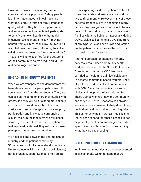How do we envision developing a more clinical-trial-savvy population? Many people lack information about clinical trials and what they entail in terms of family impact or quality of life. If they have the opportunity and encouragement, patients will participate to benefit their own health  $-$  or humanity in general. We hear patients say, "I may not benefit from a clinical trial in my lifetime, but I want to know that I am contributing to sickle cell disease treatment for future generations." They are willing to sacrifice for the betterment of their community, so we need to build trust and encourage this support.

## ENGAGING MINORITY PATIENTS

When we are transparent and demonstrate the benefits of clinical trial participation, we will see a response from the community. Then, we can ask participants to share their stories with others, and they will help us bring more people into the fold. If we do our job well, we can start a new trend and engender more support, participation and knowledge surrounding clinical trials. In the long term, we will dispel some myths, as well. In contrast, if patients feel exploited or abused, they will share those perceptions with their communities.

We need liaisons between the pharmaceutical industry and the patient community. "Companies don't fully understand what life is like for someone living with sickle cell disease," noted Francis-Gibson. "Sponsors may create

a trial expecting sickle cell patients to travel to another state and reside in a hospital for two to three months. However, many of these patients practically live in hospitals already, or they may have jobs and not be able to take time off from work. Also, patients may have families with small children. Especially during COVID, sickle cell patients are avoiding travel of any type." A liaison can provide education on the patient perspective so that sponsors can design trials for success.

Another approach for engaging minority patients is via trained community health workers. For example, the Sickle Cell Disease Association of America (SCDAA) has a certified curriculum to train lay individuals to become community health workers. They place these workers in local communities with SCDAA member organizations and at clinics and hospitals. Why is this helpful? These trained workers know the community, and they are trusted. Sponsors can provide extra expertise as needed to help direct them, guide them and respond to patient inquiries. This community health worker model is one that we can expand for other diseases. It can help amplify healthcare messages as workers speak directly with patients, understanding what they are experiencing.

## BREAKING THROUGH BARRIERS

We know that minorities are underrepresented in clinical trials. We understand that we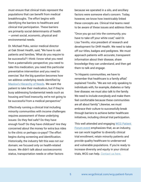must ensure that clinical trials represent the populations that can benefit from medical breakthroughs. The effort begins with identifying the barriers to healthcare and clinical trial participation. These barriers are primarily social determinants of health – unmet social, economic, physical and environmental needs.

Dr. Michael Poku, senior medical director at Oak Street Health, said, "We have to ask patients and families, 'What do you require to be successful? I think I know what you need from a paternalistic perspective; you need to take this medication, you need this particular preventative intervention and you need to exercise.' But the big question becomes how we address underlying needs identified by Maslow's Hierarchy of Needs. We want the patient to take their medication, but if they're busy addressing fundamental needs such as housing and food insecurity, we're not going to be successful from a medical perspective."

Effectively running a clinical trial including minority communities with income challenges requires assessment of these underlying issues: Do they feel safe? Do they have enough food? Do they have childcare? Are they concerned about the money for extra bus rides to the clinic or perhaps co-pays? The effort begins during screening and identification. Historically, the industry felt this was not our domain; we focused only on health-related issues. We didn't talk about socioeconomic status, transportation needs or other factors

because we operated in a silo, and ancillary factors were someone else's concern. Today, however, we know how inextricably linked these concepts are. Clinical trial teams need to be aware of these issues and address them.

"Once you go out into the community, you have to take off your white coat," said Dr. Lisa Treviño, vice president of research and development for DHR Health. We need to take off our titles, badges and pedigrees. We must approach patients with accurate, transparent information about their disease, share knowledge they can understand, and then get them to talk and engage.

"In Hispanic communities, we have to remember that healthcare is a family affair," explained Treviño. "We are not only speaking to individuals with, for example, diabetes or fatty liver disease; we must also talk to the family. We need to include everybody and make them feel comfortable because these communities are all about family." Likewise, we must embrace their culture to successfully break through barriers to achieve better healthcare initiatives, including clinical trial participation.

This well attended and engaging WCG Patient Forum event emphasizes that, as an industry, we can work together to diversify clinical trial enrollment, retain minority patients and provide quality healthcare to underserved and vulnerable populations. If you're ready to increase diversity and equity in your clinical trials, WCG can help. Contact us here.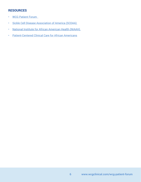## RESOURCES

- WCG Patient Forum
- Sickle Cell Disease Association of America (SCDAA)
- National Institute for African American Health (NIAAH)
- Patient-Centered Clinical Care for African Americans